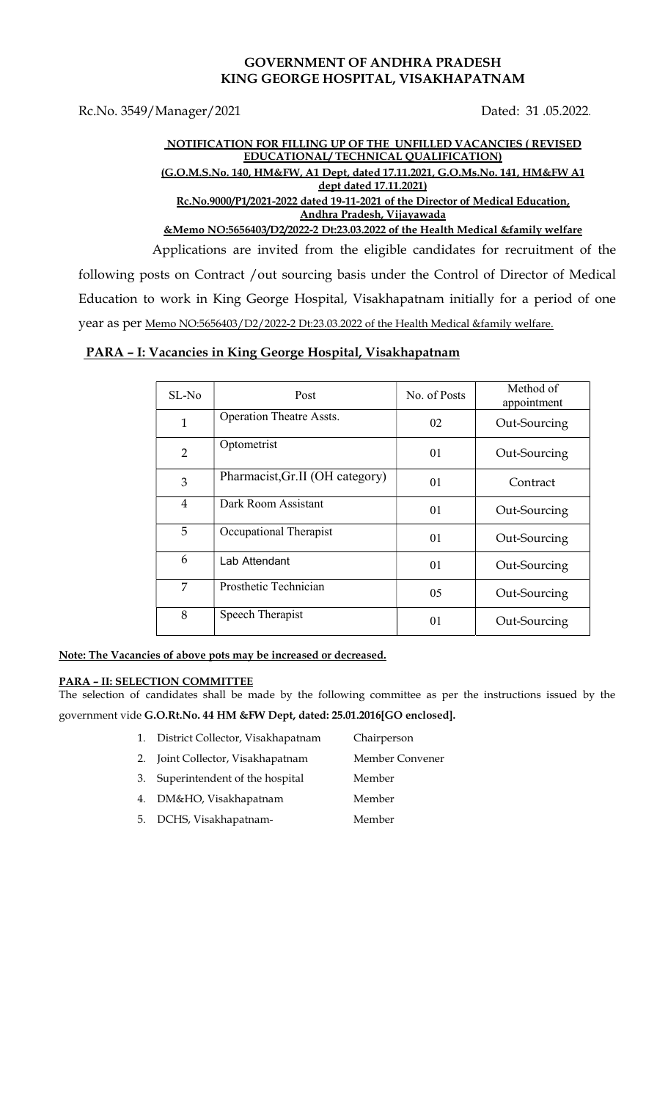## GOVERNMENT OF ANDHRA PRADESH KING GEORGE HOSPITAL, VISAKHAPATNAM

Rc.No. 3549/Manager/2021 Dated: 31 .05.2022.

## NOTIFICATION FOR FILLING UP OF THE UNFILLED VACANCIES ( REVISED EDUCATIONAL/ TECHNICAL QUALIFICATION) (G.O.M.S.No. 140, HM&FW, A1 Dept, dated 17.11.2021, G.O.Ms.No. 141, HM&FW A1 dept dated 17.11.2021) Rc.No.9000/P1/2021-2022 dated 19-11-2021 of the Director of Medical Education, Andhra Pradesh, Vijayawada

&Memo NO:5656403/D2/2022-2 Dt:23.03.2022 of the Health Medical &family welfare

 Applications are invited from the eligible candidates for recruitment of the following posts on Contract /out sourcing basis under the Control of Director of Medical Education to work in King George Hospital, Visakhapatnam initially for a period of one year as per Memo NO:5656403/D2/2022-2 Dt:23.03.2022 of the Health Medical &family welfare.

## PARA – I: Vacancies in King George Hospital, Visakhapatnam

| $SL-No$        | Post                            | No. of Posts | Method of<br>appointment |
|----------------|---------------------------------|--------------|--------------------------|
| 1              | <b>Operation Theatre Assts.</b> | 02           | Out-Sourcing             |
| $\overline{2}$ | Optometrist                     | 01           | Out-Sourcing             |
| 3              | Pharmacist, Gr.II (OH category) | 01           | Contract                 |
| $\overline{4}$ | Dark Room Assistant             | 01           | Out-Sourcing             |
| 5              | Occupational Therapist          | 01           | Out-Sourcing             |
| 6              | Lab Attendant                   | 01           | Out-Sourcing             |
| 7              | Prosthetic Technician           | 05           | Out-Sourcing             |
| 8              | Speech Therapist                | 01           | Out-Sourcing             |

Note: The Vacancies of above pots may be increased or decreased.

### PARA – II: SELECTION COMMITTEE

The selection of candidates shall be made by the following committee as per the instructions issued by the government vide G.O.Rt.No. 44 HM &FW Dept, dated: 25.01.2016[GO enclosed].

- 1. District Collector, Visakhapatnam Chairperson
- 2. Joint Collector, Visakhapatnam Member Convener
- 3. Superintendent of the hospital Member
- 4. DM&HO, Visakhapatnam Member
- 5. DCHS, Visakhapatnam- Member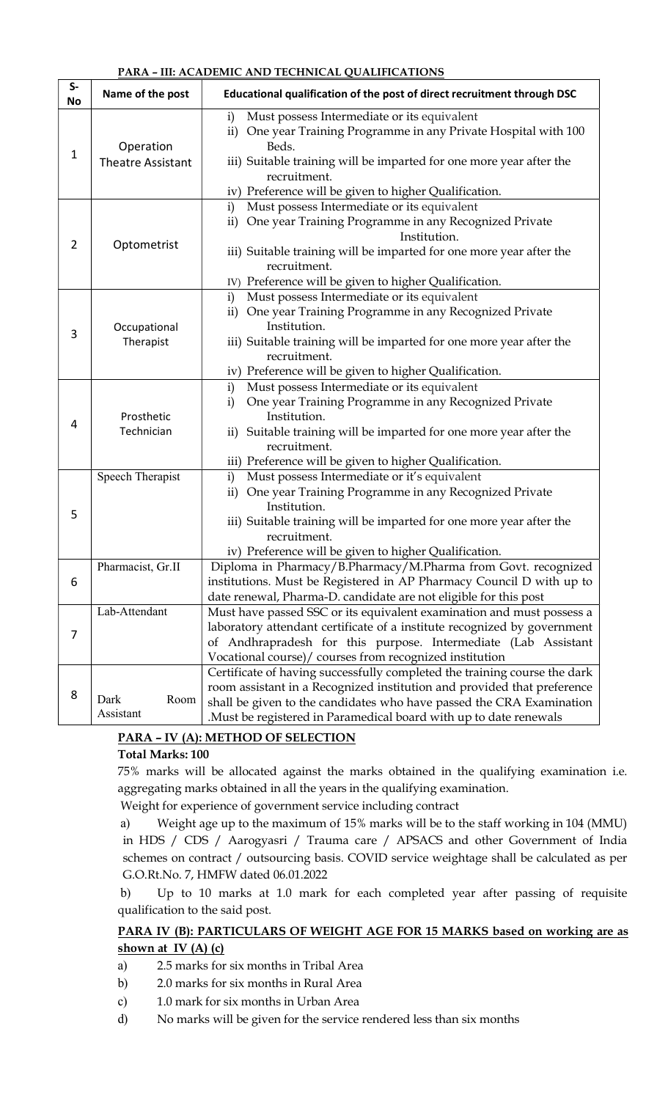#### PARA – III: ACADEMIC AND TECHNICAL QUALIFICATIONS

| $S-$<br><b>No</b> | Name of the post                      | Educational qualification of the post of direct recruitment through DSC                                                                                                                                                                                                                           |  |  |
|-------------------|---------------------------------------|---------------------------------------------------------------------------------------------------------------------------------------------------------------------------------------------------------------------------------------------------------------------------------------------------|--|--|
| $\mathbf 1$       | Operation<br><b>Theatre Assistant</b> | Must possess Intermediate or its equivalent<br>i)<br>ii) One year Training Programme in any Private Hospital with 100<br>Beds.<br>iii) Suitable training will be imparted for one more year after the<br>recruitment.<br>iv) Preference will be given to higher Qualification.                    |  |  |
| $\overline{2}$    | Optometrist                           | Must possess Intermediate or its equivalent<br>i)<br>One year Training Programme in any Recognized Private<br>$\mathbf{ii}$<br>Institution.<br>iii) Suitable training will be imparted for one more year after the<br>recruitment.<br>IV) Preference will be given to higher Qualification.       |  |  |
| 3                 | Occupational<br>Therapist             | Must possess Intermediate or its equivalent<br>i)<br>ii) One year Training Programme in any Recognized Private<br>Institution.<br>iii) Suitable training will be imparted for one more year after the<br>recruitment.<br>iv) Preference will be given to higher Qualification.                    |  |  |
| 4                 | Prosthetic<br>Technician              | Must possess Intermediate or its equivalent<br>i)<br>One year Training Programme in any Recognized Private<br>i)<br>Institution.<br>ii) Suitable training will be imparted for one more year after the<br>recruitment.<br>iii) Preference will be given to higher Qualification.                  |  |  |
| 5                 | Speech Therapist<br>Pharmacist, Gr.II | Must possess Intermediate or it's equivalent<br>i)<br>One year Training Programme in any Recognized Private<br>$\mathbf{ii}$<br>Institution.<br>iii) Suitable training will be imparted for one more year after the<br>recruitment.<br>iv) Preference will be given to higher Qualification.      |  |  |
| 6                 |                                       | Diploma in Pharmacy/B.Pharmacy/M.Pharma from Govt. recognized<br>institutions. Must be Registered in AP Pharmacy Council D with up to<br>date renewal, Pharma-D. candidate are not eligible for this post                                                                                         |  |  |
| 7                 | Lab-Attendant                         | Must have passed SSC or its equivalent examination and must possess a<br>laboratory attendant certificate of a institute recognized by government<br>of Andhrapradesh for this purpose. Intermediate (Lab Assistant<br>Vocational course)/ courses from recognized institution                    |  |  |
| 8                 | Room<br>Dark<br>Assistant             | Certificate of having successfully completed the training course the dark<br>room assistant in a Recognized institution and provided that preference<br>shall be given to the candidates who have passed the CRA Examination<br>.Must be registered in Paramedical board with up to date renewals |  |  |

# PARA – IV (A): METHOD OF SELECTION

### Total Marks: 100

75% marks will be allocated against the marks obtained in the qualifying examination i.e. aggregating marks obtained in all the years in the qualifying examination.

Weight for experience of government service including contract

a) Weight age up to the maximum of 15% marks will be to the staff working in 104 (MMU) in HDS / CDS / Aarogyasri / Trauma care / APSACS and other Government of India schemes on contract / outsourcing basis. COVID service weightage shall be calculated as per G.O.Rt.No. 7, HMFW dated 06.01.2022

b) Up to 10 marks at 1.0 mark for each completed year after passing of requisite qualification to the said post.

# PARA IV (B): PARTICULARS OF WEIGHT AGE FOR 15 MARKS based on working are as shown at IV  $(A)$   $(c)$

- a) 2.5 marks for six months in Tribal Area
- b) 2.0 marks for six months in Rural Area
- c) 1.0 mark for six months in Urban Area
- d) No marks will be given for the service rendered less than six months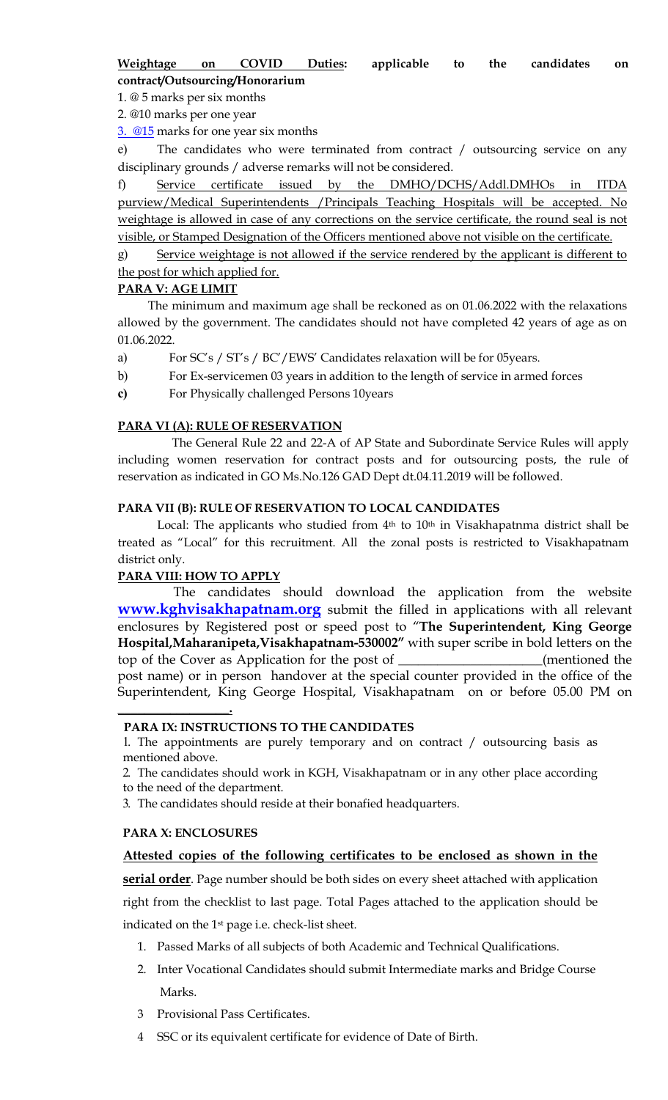1. @ 5 marks per six months

2. @10 marks per one year

3. @15 marks for one year six months

e) The candidates who were terminated from contract / outsourcing service on any disciplinary grounds / adverse remarks will not be considered.

f) Service certificate issued by the DMHO/DCHS/Addl.DMHOs in ITDA purview/Medical Superintendents /Principals Teaching Hospitals will be accepted. No weightage is allowed in case of any corrections on the service certificate, the round seal is not visible, or Stamped Designation of the Officers mentioned above not visible on the certificate.

g) Service weightage is not allowed if the service rendered by the applicant is different to the post for which applied for.

### PARA V: AGE LIMIT

 The minimum and maximum age shall be reckoned as on 01.06.2022 with the relaxations allowed by the government. The candidates should not have completed 42 years of age as on 01.06.2022.

- a) For SC's / ST's / BC'/EWS' Candidates relaxation will be for 05years.
- b) For Ex-servicemen 03 years in addition to the length of service in armed forces
- c) For Physically challenged Persons 10years

## PARA VI (A): RULE OF RESERVATION

 The General Rule 22 and 22-A of AP State and Subordinate Service Rules will apply including women reservation for contract posts and for outsourcing posts, the rule of reservation as indicated in GO Ms.No.126 GAD Dept dt.04.11.2019 will be followed.

## PARA VII (B): RULE OF RESERVATION TO LOCAL CANDIDATES

Local: The applicants who studied from 4<sup>th</sup> to 10<sup>th</sup> in Visakhapatnma district shall be treated as "Local" for this recruitment. All the zonal posts is restricted to Visakhapatnam district only.

# PARA VIII: HOW TO APPLY

 The candidates should download the application from the website **www.kghvisakhapatnam.org** submit the filled in applications with all relevant enclosures by Registered post or speed post to "The Superintendent, King George Hospital,Maharanipeta,Visakhapatnam-530002" with super scribe in bold letters on the top of the Cover as Application for the post of \_\_\_\_\_\_\_\_\_\_\_\_\_\_\_\_\_\_\_\_\_\_(mentioned the post name) or in person handover at the special counter provided in the office of the Superintendent, King George Hospital, Visakhapatnam on or before 05.00 PM on

### PARA IX: INSTRUCTIONS TO THE CANDIDATES

1. The appointments are purely temporary and on contract / outsourcing basis as mentioned above.

2. The candidates should work in KGH, Visakhapatnam or in any other place according to the need of the department.

3. The candidates should reside at their bonafied headquarters.

### PARA X: ENCLOSURES

\_\_\_\_\_\_\_\_\_\_\_\_\_\_\_\_\_.

# Attested copies of the following certificates to be enclosed as shown in the

serial order. Page number should be both sides on every sheet attached with application right from the checklist to last page. Total Pages attached to the application should be

indicated on the 1st page i.e. check-list sheet.

- 1. Passed Marks of all subjects of both Academic and Technical Qualifications.
- 2. Inter Vocational Candidates should submit Intermediate marks and Bridge Course Marks.
- 3 Provisional Pass Certificates.
- SSC or its equivalent certificate for evidence of Date of Birth.